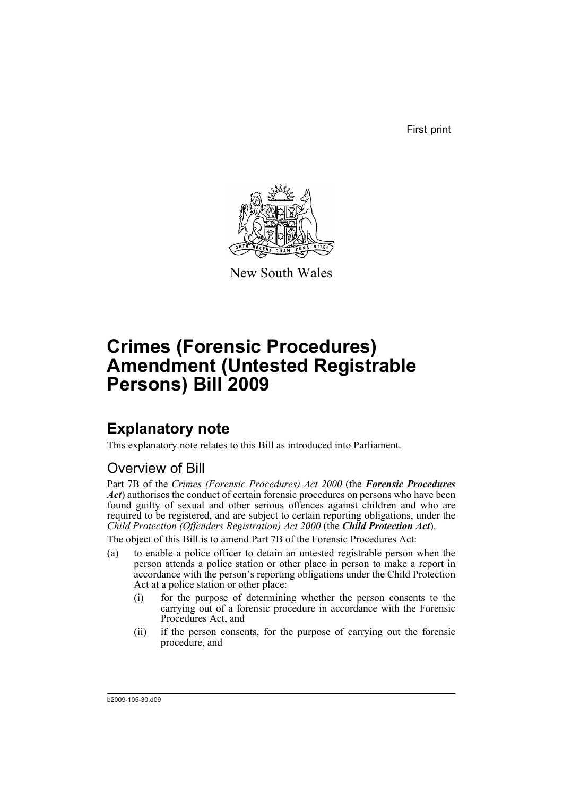First print



New South Wales

# **Crimes (Forensic Procedures) Amendment (Untested Registrable Persons) Bill 2009**

## **Explanatory note**

This explanatory note relates to this Bill as introduced into Parliament.

## Overview of Bill

Part 7B of the *Crimes (Forensic Procedures) Act 2000* (the *Forensic Procedures Act*) authorises the conduct of certain forensic procedures on persons who have been found guilty of sexual and other serious offences against children and who are required to be registered, and are subject to certain reporting obligations, under the *Child Protection (Offenders Registration) Act 2000* (the *Child Protection Act*).

The object of this Bill is to amend Part 7B of the Forensic Procedures Act:

- (a) to enable a police officer to detain an untested registrable person when the person attends a police station or other place in person to make a report in accordance with the person's reporting obligations under the Child Protection Act at a police station or other place:
	- (i) for the purpose of determining whether the person consents to the carrying out of a forensic procedure in accordance with the Forensic Procedures Act, and
	- (ii) if the person consents, for the purpose of carrying out the forensic procedure, and

b2009-105-30.d09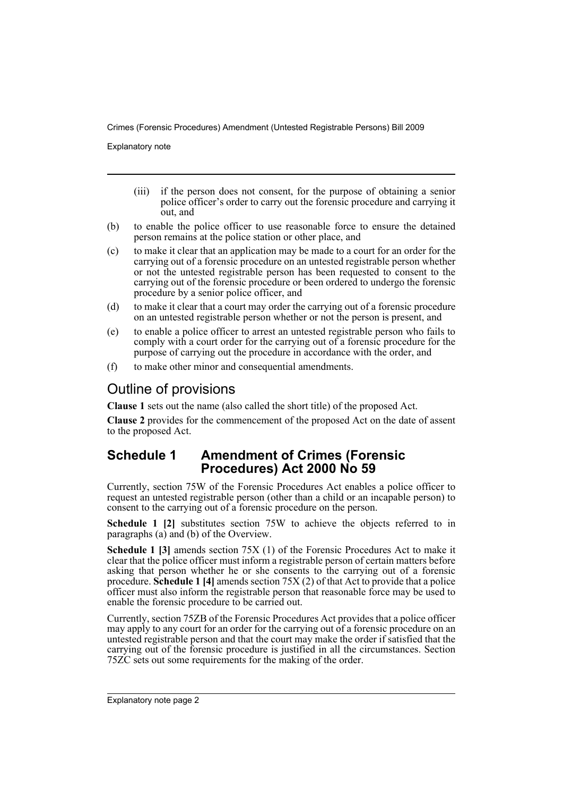Explanatory note

- (iii) if the person does not consent, for the purpose of obtaining a senior police officer's order to carry out the forensic procedure and carrying it out, and
- (b) to enable the police officer to use reasonable force to ensure the detained person remains at the police station or other place, and
- (c) to make it clear that an application may be made to a court for an order for the carrying out of a forensic procedure on an untested registrable person whether or not the untested registrable person has been requested to consent to the carrying out of the forensic procedure or been ordered to undergo the forensic procedure by a senior police officer, and
- (d) to make it clear that a court may order the carrying out of a forensic procedure on an untested registrable person whether or not the person is present, and
- (e) to enable a police officer to arrest an untested registrable person who fails to comply with a court order for the carrying out of a forensic procedure for the purpose of carrying out the procedure in accordance with the order, and
- (f) to make other minor and consequential amendments.

### Outline of provisions

**Clause 1** sets out the name (also called the short title) of the proposed Act.

**Clause 2** provides for the commencement of the proposed Act on the date of assent to the proposed Act.

#### **Schedule 1 Amendment of Crimes (Forensic Procedures) Act 2000 No 59**

Currently, section 75W of the Forensic Procedures Act enables a police officer to request an untested registrable person (other than a child or an incapable person) to consent to the carrying out of a forensic procedure on the person.

**Schedule 1 [2]** substitutes section 75W to achieve the objects referred to in paragraphs (a) and (b) of the Overview.

**Schedule 1 [3]** amends section 75X (1) of the Forensic Procedures Act to make it clear that the police officer must inform a registrable person of certain matters before asking that person whether he or she consents to the carrying out of a forensic procedure. **Schedule 1 [4]** amends section 75X (2) of that Act to provide that a police officer must also inform the registrable person that reasonable force may be used to enable the forensic procedure to be carried out.

Currently, section 75ZB of the Forensic Procedures Act provides that a police officer may apply to any court for an order for the carrying out of a forensic procedure on an untested registrable person and that the court may make the order if satisfied that the carrying out of the forensic procedure is justified in all the circumstances. Section 75ZC sets out some requirements for the making of the order.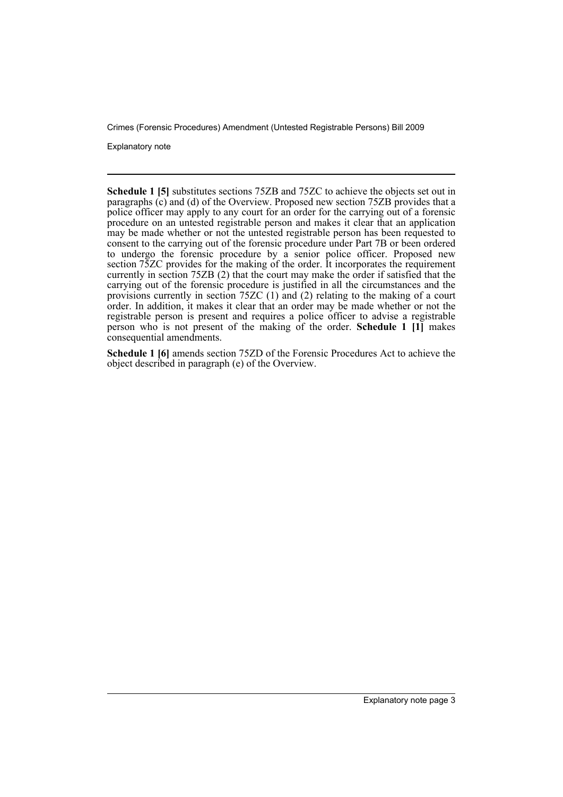Explanatory note

**Schedule 1 [5]** substitutes sections 75ZB and 75ZC to achieve the objects set out in paragraphs  $(c)$  and  $(d)$  of the Overview. Proposed new section 75ZB provides that a police officer may apply to any court for an order for the carrying out of a forensic procedure on an untested registrable person and makes it clear that an application may be made whether or not the untested registrable person has been requested to consent to the carrying out of the forensic procedure under Part 7B or been ordered to undergo the forensic procedure by a senior police officer. Proposed new section 75ZC provides for the making of the order. It incorporates the requirement currently in section 75ZB (2) that the court may make the order if satisfied that the carrying out of the forensic procedure is justified in all the circumstances and the provisions currently in section 75ZC (1) and (2) relating to the making of a court order. In addition, it makes it clear that an order may be made whether or not the registrable person is present and requires a police officer to advise a registrable person who is not present of the making of the order. **Schedule 1 [1]** makes consequential amendments.

**Schedule 1 [6]** amends section 75ZD of the Forensic Procedures Act to achieve the object described in paragraph (e) of the Overview.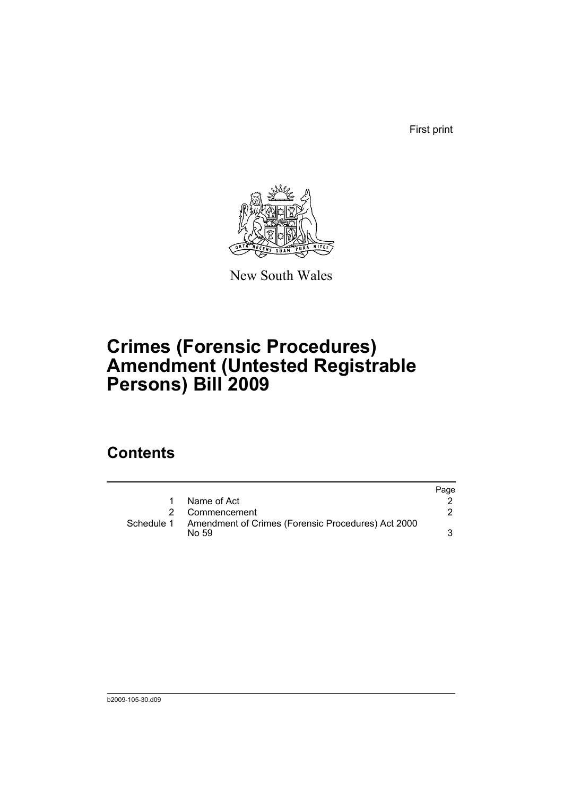First print



New South Wales

# **Crimes (Forensic Procedures) Amendment (Untested Registrable Persons) Bill 2009**

## **Contents**

|            |                                                              | Page |
|------------|--------------------------------------------------------------|------|
|            | Name of Act                                                  |      |
|            | 2 Commencement                                               |      |
| Schedule 1 | Amendment of Crimes (Forensic Procedures) Act 2000<br>No 59. |      |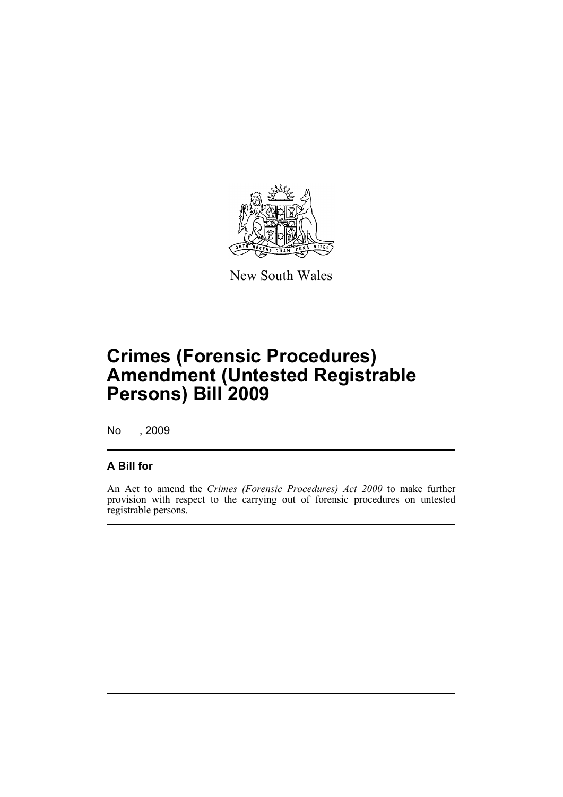

New South Wales

# **Crimes (Forensic Procedures) Amendment (Untested Registrable Persons) Bill 2009**

No , 2009

#### **A Bill for**

An Act to amend the *Crimes (Forensic Procedures) Act 2000* to make further provision with respect to the carrying out of forensic procedures on untested registrable persons.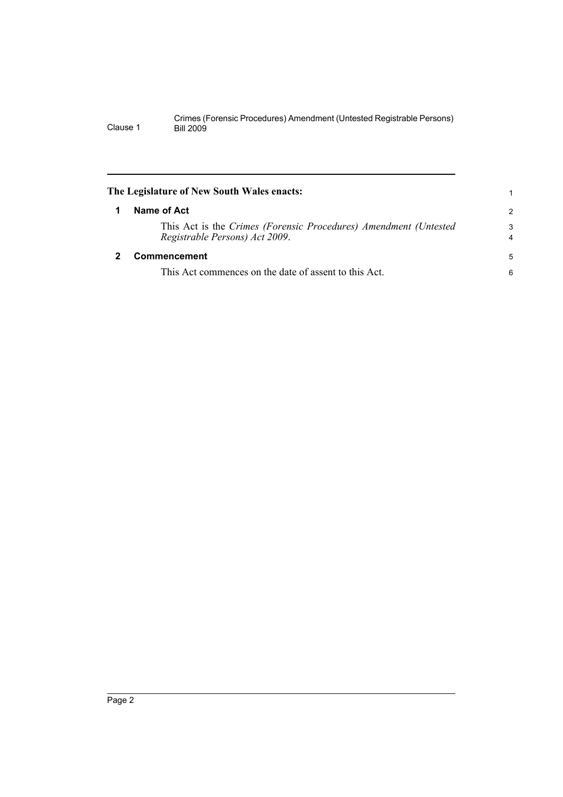<span id="page-7-1"></span><span id="page-7-0"></span>

|   | The Legislature of New South Wales enacts:                                                         | 1             |
|---|----------------------------------------------------------------------------------------------------|---------------|
| 1 | Name of Act                                                                                        | $\mathcal{P}$ |
|   | This Act is the Crimes (Forensic Procedures) Amendment (Untested<br>Registrable Persons) Act 2009. | 3<br>4        |
|   | <b>Commencement</b>                                                                                | 5             |
|   | This Act commences on the date of assent to this Act.                                              | 6             |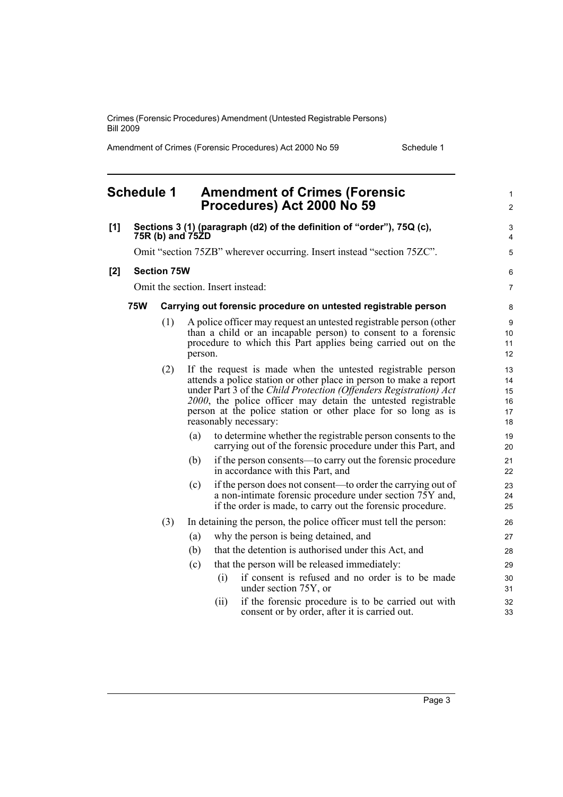Amendment of Crimes (Forensic Procedures) Act 2000 No 59 Schedule 1

#### <span id="page-8-0"></span>**Schedule 1 Amendment of Crimes (Forensic Procedures) Act 2000 No 59 [1] Sections 3 (1) (paragraph (d2) of the definition of "order"), 75Q (c), 75R (b) and 75ZD** Omit "section 75ZB" wherever occurring. Insert instead "section 75ZC". **[2] Section 75W** Omit the section. Insert instead: **75W Carrying out forensic procedure on untested registrable person** (1) A police officer may request an untested registrable person (other than a child or an incapable person) to consent to a forensic procedure to which this Part applies being carried out on the person. (2) If the request is made when the untested registrable person attends a police station or other place in person to make a report under Part 3 of the *Child Protection (Offenders Registration) Act 2000*, the police officer may detain the untested registrable person at the police station or other place for so long as is reasonably necessary: (a) to determine whether the registrable person consents to the carrying out of the forensic procedure under this Part, and (b) if the person consents—to carry out the forensic procedure in accordance with this Part, and (c) if the person does not consent—to order the carrying out of a non-intimate forensic procedure under section 75Y and, if the order is made, to carry out the forensic procedure. (3) In detaining the person, the police officer must tell the person: (a) why the person is being detained, and (b) that the detention is authorised under this Act, and (c) that the person will be released immediately: (i) if consent is refused and no order is to be made under section 75Y, or (ii) if the forensic procedure is to be carried out with 1  $\mathfrak{p}$  $\overline{a}$ 4 5 6 7 8  $\alpha$ 10 11 12 13 14 15 16 17 18 19  $20$ 21 22  $23$ 24  $25$ 26 27 28 29 30 31  $32$

consent or by order, after it is carried out.

33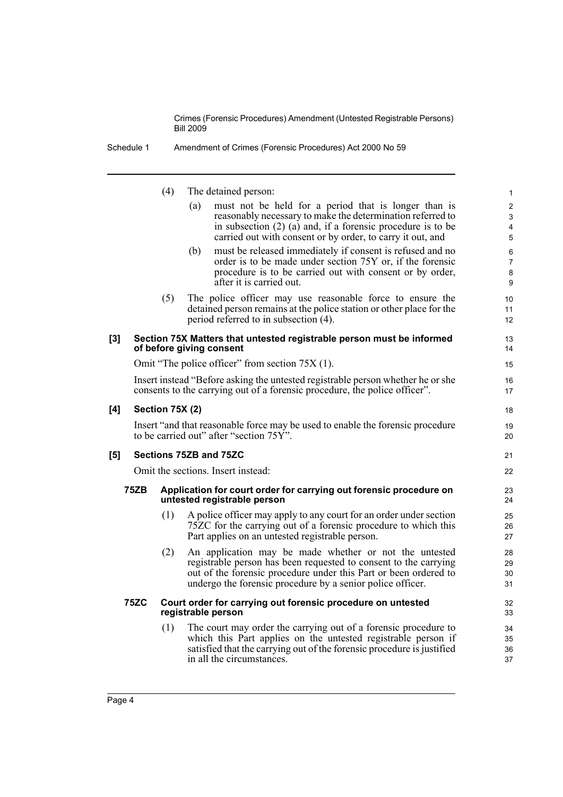Schedule 1 Amendment of Crimes (Forensic Procedures) Act 2000 No 59

(4) The detained person: (a) must not be held for a period that is longer than is reasonably necessary to make the determination referred to in subsection (2) (a) and, if a forensic procedure is to be carried out with consent or by order, to carry it out, and (b) must be released immediately if consent is refused and no order is to be made under section 75Y or, if the forensic procedure is to be carried out with consent or by order, after it is carried out. (5) The police officer may use reasonable force to ensure the detained person remains at the police station or other place for the period referred to in subsection (4). **[3] Section 75X Matters that untested registrable person must be informed of before giving consent** Omit "The police officer" from section 75X (1). Insert instead "Before asking the untested registrable person whether he or she consents to the carrying out of a forensic procedure, the police officer". **[4] Section 75X (2)** Insert "and that reasonable force may be used to enable the forensic procedure to be carried out" after "section 75Y". **[5] Sections 75ZB and 75ZC**  Omit the sections. Insert instead: **75ZB Application for court order for carrying out forensic procedure on untested registrable person** (1) A police officer may apply to any court for an order under section 75ZC for the carrying out of a forensic procedure to which this Part applies on an untested registrable person. (2) An application may be made whether or not the untested registrable person has been requested to consent to the carrying out of the forensic procedure under this Part or been ordered to undergo the forensic procedure by a senior police officer. **75ZC Court order for carrying out forensic procedure on untested registrable person** (1) The court may order the carrying out of a forensic procedure to which this Part applies on the untested registrable person if satisfied that the carrying out of the forensic procedure is justified in all the circumstances. 1 2 3 4 5 6 7 8 9  $10$ 11 12 13 14 15 16 17 18 19 20 21 22 23 24 25 26 27 28 29 30 31 32 33 34 35 36 37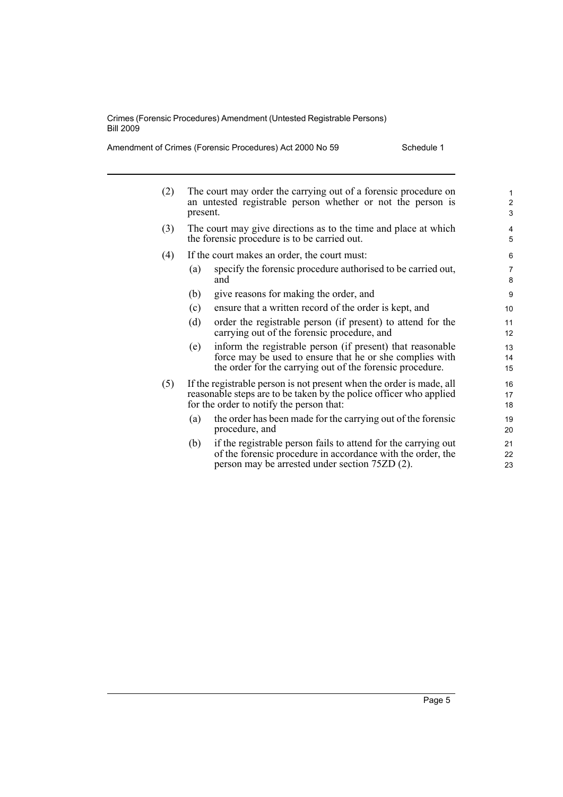Amendment of Crimes (Forensic Procedures) Act 2000 No 59 Schedule 1

| (2) | The court may order the carrying out of a forensic procedure on<br>an untested registrable person whether or not the person is<br>present.                                             |                                                                                                                                                                                     | $\mathbf{1}$<br>$\overline{2}$<br>3 |
|-----|----------------------------------------------------------------------------------------------------------------------------------------------------------------------------------------|-------------------------------------------------------------------------------------------------------------------------------------------------------------------------------------|-------------------------------------|
| (3) | The court may give directions as to the time and place at which<br>the forensic procedure is to be carried out.                                                                        |                                                                                                                                                                                     | 4<br>5                              |
| (4) | If the court makes an order, the court must:                                                                                                                                           |                                                                                                                                                                                     | 6                                   |
|     | (a)                                                                                                                                                                                    | specify the forensic procedure authorised to be carried out,<br>and                                                                                                                 | $\overline{7}$<br>8                 |
|     | (b)                                                                                                                                                                                    | give reasons for making the order, and                                                                                                                                              | 9                                   |
|     | (c)                                                                                                                                                                                    | ensure that a written record of the order is kept, and                                                                                                                              | 10                                  |
|     | (d)                                                                                                                                                                                    | order the registrable person (if present) to attend for the<br>carrying out of the forensic procedure, and                                                                          | 11<br>$12 \overline{ }$             |
|     | (e)                                                                                                                                                                                    | inform the registrable person (if present) that reasonable<br>force may be used to ensure that he or she complies with<br>the order for the carrying out of the forensic procedure. | 13<br>14<br>15                      |
| (5) | If the registrable person is not present when the order is made, all<br>reasonable steps are to be taken by the police officer who applied<br>for the order to notify the person that: |                                                                                                                                                                                     | 16<br>17<br>18                      |
|     | (a)                                                                                                                                                                                    | the order has been made for the carrying out of the forensic<br>procedure, and                                                                                                      | 19<br>20                            |
|     | (b)                                                                                                                                                                                    | if the registrable person fails to attend for the carrying out<br>of the forensic procedure in accordance with the order, the<br>person may be arrested under section 75ZD (2).     | 21<br>22<br>23                      |